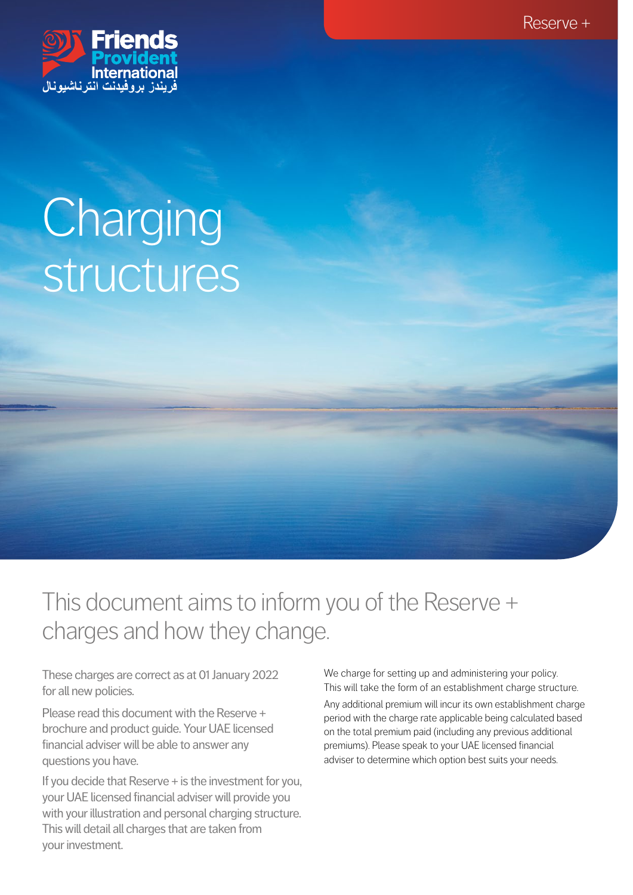Reserve +



# **Charging** structures

This document aims to inform you of the Reserve + charges and how they change.

These charges are correct as at 01 January 2022 for all new policies.

Please read this document with the Reserve + brochure and product guide. Your UAE licensed financial adviser will be able to answer any questions you have.

If you decide that Reserve + is the investment for you, your UAE licensed financial adviser will provide you with your illustration and personal charging structure. This will detail all charges that are taken from your investment.

We charge for setting up and administering your policy. This will take the form of an establishment charge structure.

Any additional premium will incur its own establishment charge period with the charge rate applicable being calculated based on the total premium paid (including any previous additional premiums). Please speak to your UAE licensed financial adviser to determine which option best suits your needs.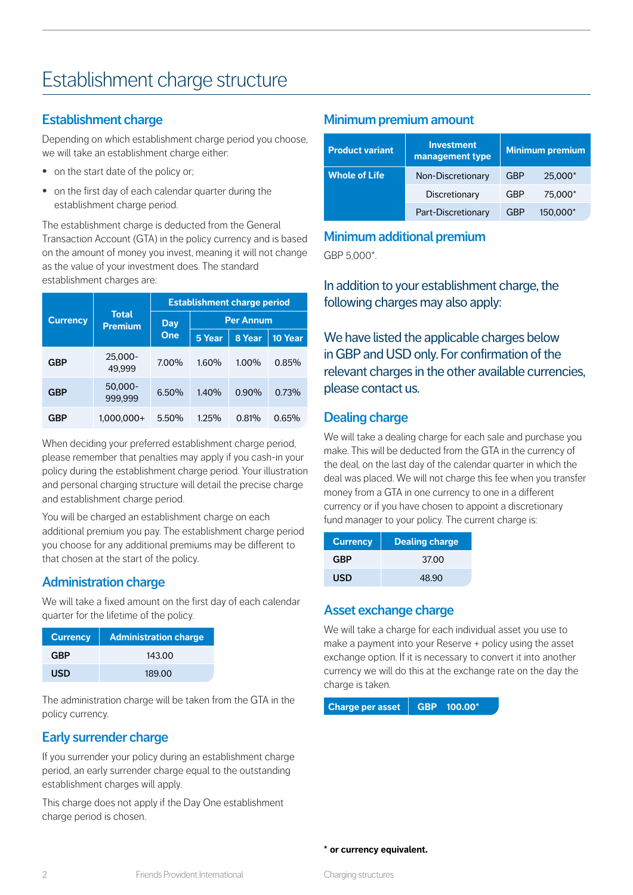# Establishment charge structure

#### **Establishment charge**

Depending on which establishment charge period you choose, we will take an establishment charge either:

- on the start date of the policy or;
- **•** on the first day of each calendar quarter during the establishment charge period.

The establishment charge is deducted from the General Transaction Account (GTA) in the policy currency and is based on the amount of money you invest, meaning it will not change as the value of your investment does. The standard establishment charges are:

| <b>Currency</b> | <b>Total</b><br><b>Premium</b> | <b>Establishment charge period</b> |                  |        |         |
|-----------------|--------------------------------|------------------------------------|------------------|--------|---------|
|                 |                                | Day<br>One                         | <b>Per Annum</b> |        |         |
|                 |                                |                                    | 5 Year           | 8 Year | 10 Year |
| GBP             | 25,000-<br>49.999              | 7.00%                              | 1.60%            | 1.00%  | 0.85%   |
| <b>GBP</b>      | 50,000-<br>999.999             | 6.50%                              | 1.40%            | 0.90%  | 0.73%   |
| GRP             | $1.000.000+$                   | 5.50%                              | 1.25%            | 0.81%  | 0.65%   |

When deciding your preferred establishment charge period, please remember that penalties may apply if you cash-in your policy during the establishment charge period. Your illustration and personal charging structure will detail the precise charge and establishment charge period.

You will be charged an establishment charge on each additional premium you pay. The establishment charge period you choose for any additional premiums may be different to that chosen at the start of the policy.

#### **Administration charge**

We will take a fixed amount on the first day of each calendar quarter for the lifetime of the policy.

| <b>Currency</b> | <b>Administration charge</b> |
|-----------------|------------------------------|
| GRP             | 143.00                       |
| USD             | 189.00                       |

The administration charge will be taken from the GTA in the policy currency.

# **Early surrender charge**

If you surrender your policy during an establishment charge period, an early surrender charge equal to the outstanding establishment charges will apply.

This charge does not apply if the Day One establishment charge period is chosen.

#### **Minimum premium amount**

| <b>Product variant</b> | <b>Investment</b><br>management type |     | <b>Minimum premium</b> |
|------------------------|--------------------------------------|-----|------------------------|
| <b>Whole of Life</b>   | Non-Discretionary                    | GBP | 25,000*                |
|                        | Discretionary                        | GBP | 75,000*                |
|                        | Part-Discretionary                   | GBP | 150,000*               |

#### **Minimum additional premium** GBP 5,000\*.

In addition to your establishment charge, the following charges may also apply:

We have listed the applicable charges below in GBP and USD only. For confirmation of the relevant charges in the other available currencies, please contact us.

# **Dealing charge**

We will take a dealing charge for each sale and purchase you make. This will be deducted from the GTA in the currency of the deal, on the last day of the calendar quarter in which the deal was placed. We will not charge this fee when you transfer money from a GTA in one currency to one in a different currency or if you have chosen to appoint a discretionary fund manager to your policy. The current charge is:

| <b>Currency</b> | <b>Dealing charge</b> |
|-----------------|-----------------------|
| GBP             | 37.00                 |
| USD             | 48.90                 |

# **Asset exchange charge**

We will take a charge for each individual asset you use to make a payment into your Reserve + policy using the asset exchange option. If it is necessary to convert it into another currency we will do this at the exchange rate on the day the charge is taken.

**Charge per asset GBP 100.00\***

**\* or currency equivalent.**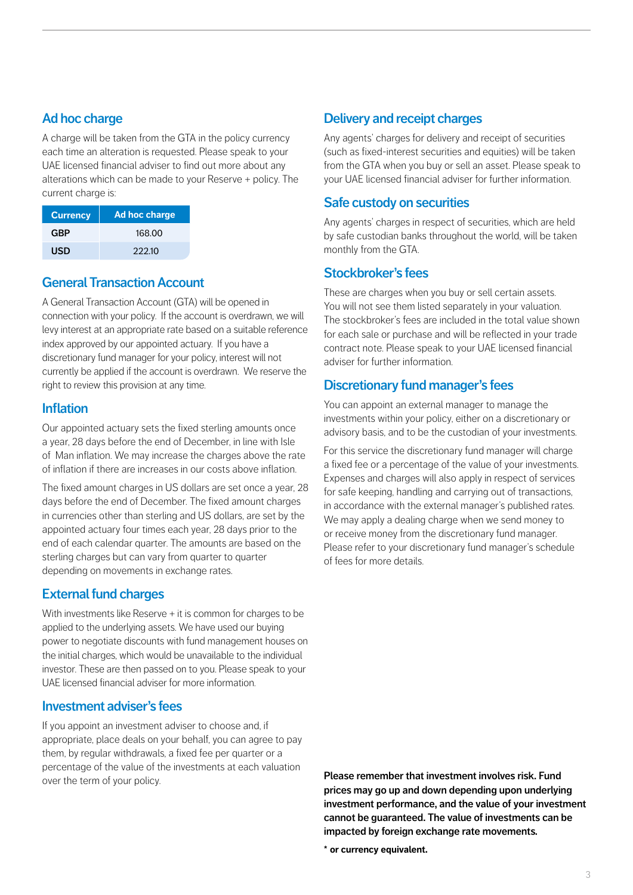#### **Ad hoc charge**

A charge will be taken from the GTA in the policy currency each time an alteration is requested. Please speak to your UAE licensed financial adviser to find out more about any alterations which can be made to your Reserve + policy. The current charge is:

| <b>Currency</b> | <b>Ad hoc charge</b> |
|-----------------|----------------------|
| GBP             | 168.00               |
| USD             | 222.10               |

#### **General Transaction Account**

A General Transaction Account (GTA) will be opened in connection with your policy. If the account is overdrawn, we will levy interest at an appropriate rate based on a suitable reference index approved by our appointed actuary. If you have a discretionary fund manager for your policy, interest will not currently be applied if the account is overdrawn. We reserve the right to review this provision at any time.

#### **Inflation**

Our appointed actuary sets the fixed sterling amounts once a year, 28 days before the end of December, in line with Isle of Man inflation. We may increase the charges above the rate of inflation if there are increases in our costs above inflation.

The fixed amount charges in US dollars are set once a year, 28 days before the end of December. The fixed amount charges in currencies other than sterling and US dollars, are set by the appointed actuary four times each year, 28 days prior to the end of each calendar quarter. The amounts are based on the sterling charges but can vary from quarter to quarter depending on movements in exchange rates.

#### **External fund charges**

With investments like Reserve + it is common for charges to be applied to the underlying assets. We have used our buying power to negotiate discounts with fund management houses on the initial charges, which would be unavailable to the individual investor. These are then passed on to you. Please speak to your UAE licensed financial adviser for more information.

#### **Investment adviser's fees**

If you appoint an investment adviser to choose and, if appropriate, place deals on your behalf, you can agree to pay them, by regular withdrawals, a fixed fee per quarter or a percentage of the value of the investments at each valuation over the term of your policy.

#### **Delivery and receipt charges**

Any agents' charges for delivery and receipt of securities (such as fixed-interest securities and equities) will be taken from the GTA when you buy or sell an asset. Please speak to your UAE licensed financial adviser for further information.

#### **Safe custody on securities**

Any agents' charges in respect of securities, which are held by safe custodian banks throughout the world, will be taken monthly from the GTA.

#### **Stockbroker's fees**

These are charges when you buy or sell certain assets. You will not see them listed separately in your valuation. The stockbroker's fees are included in the total value shown for each sale or purchase and will be reflected in your trade contract note. Please speak to your UAE licensed financial adviser for further information.

#### **Discretionary fund manager's fees**

You can appoint an external manager to manage the investments within your policy, either on a discretionary or advisory basis, and to be the custodian of your investments.

For this service the discretionary fund manager will charge a fixed fee or a percentage of the value of your investments. Expenses and charges will also apply in respect of services for safe keeping, handling and carrying out of transactions, in accordance with the external manager's published rates. We may apply a dealing charge when we send money to or receive money from the discretionary fund manager. Please refer to your discretionary fund manager's schedule of fees for more details.

**Please remember that investment involves risk. Fund prices may go up and down depending upon underlying investment performance, and the value of your investment cannot be guaranteed. The value of investments can be impacted by foreign exchange rate movements.** 

**\* or currency equivalent.**